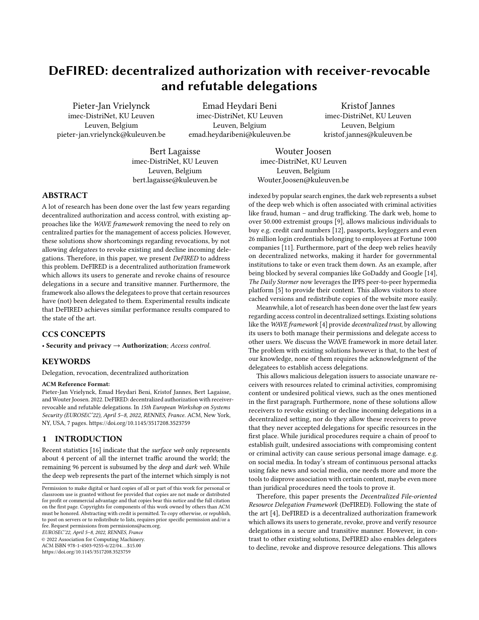# DeFIRED: decentralized authorization with receiver-revocable and refutable delegations

Pieter-Jan Vrielynck imec-DistriNet, KU Leuven Leuven, Belgium pieter-jan.vrielynck@kuleuven.be

Emad Heydari Beni imec-DistriNet, KU Leuven Leuven, Belgium emad.heydaribeni@kuleuven.be

Kristof Jannes imec-DistriNet, KU Leuven Leuven, Belgium kristof.jannes@kuleuven.be

Bert Lagaisse imec-DistriNet, KU Leuven Leuven, Belgium bert.lagaisse@kuleuven.be

Wouter Joosen imec-DistriNet, KU Leuven Leuven, Belgium Wouter.Joosen@kuleuven.be

## ABSTRACT

A lot of research has been done over the last few years regarding decentralized authorization and access control, with existing approaches like the WAVE framework removing the need to rely on centralized parties for the management of access policies. However, these solutions show shortcomings regarding revocations, by not allowing delegatees to revoke existing and decline incoming delegations. Therefore, in this paper, we present DeFIRED to address this problem. DeFIRED is a decentralized authorization framework which allows its users to generate and revoke chains of resource delegations in a secure and transitive manner. Furthermore, the framework also allows the delegatees to prove that certain resources have (not) been delegated to them. Experimental results indicate that DeFIRED achieves similar performance results compared to the state of the art.

## CCS CONCEPTS

• Security and privacy  $\rightarrow$  Authorization; Access control.

## **KEYWORDS**

Delegation, revocation, decentralized authorization

#### ACM Reference Format:

Pieter-Jan Vrielynck, Emad Heydari Beni, Kristof Jannes, Bert Lagaisse, and Wouter Joosen. 2022. DeFIRED: decentralized authorization with receiverrevocable and refutable delegations. In 15th European Workshop on Systems Security (EUROSEC'22), April 5–8, 2022, RENNES, France. ACM, New York, NY, USA, [7](#page-6-0) pages.<https://doi.org/10.1145/3517208.3523759>

## 1 INTRODUCTION

Recent statistics [\[16\]](#page-6-1) indicate that the surface web only represents about 4 percent of all the internet traffic around the world; the remaining 96 percent is subsumed by the deep and dark web. While the deep web represents the part of the internet which simply is not

EUROSEC'22, April 5–8, 2022, RENNES, France

© 2022 Association for Computing Machinery.

ACM ISBN 978-1-4503-9255-6/22/04. . . \$15.00 <https://doi.org/10.1145/3517208.3523759>

of the deep web which is often associated with criminal activities like fraud, human – and drug trafficking. The dark web, home to over 50.000 extremist groups [\[9\]](#page-6-2), allows malicious individuals to buy e.g. credit card numbers [\[12\]](#page-6-3), passports, keyloggers and even 26 million login credentials belonging to employees at Fortune 1000 companies [\[11\]](#page-6-4). Furthermore, part of the deep web relies heavily on decentralized networks, making it harder for governmental institutions to take or even track them down. As an example, after being blocked by several companies like GoDaddy and Google [\[14\]](#page-6-5), The Daily Stormer now leverages the IPFS peer-to-peer hypermedia platform [\[5\]](#page-6-6) to provide their content. This allows visitors to store cached versions and redistribute copies of the website more easily.

indexed by popular search engines, the dark web represents a subset

Meanwhile, a lot of research has been done over the last few years regarding access control in decentralized settings. Existing solutions like the WAVE framework [\[4\]](#page-6-7) provide decentralized trust, by allowing its users to both manage their permissions and delegate access to other users. We discuss the WAVE framework in more detail later. The problem with existing solutions however is that, to the best of our knowledge, none of them requires the acknowledgment of the delegatees to establish access delegations.

This allows malicious delegation issuers to associate unaware receivers with resources related to criminal activities, compromising content or undesired political views, such as the ones mentioned in the first paragraph. Furthermore, none of these solutions allow receivers to revoke existing or decline incoming delegations in a decentralized setting, nor do they allow these receivers to prove that they never accepted delegations for specific resources in the first place. While juridical procedures require a chain of proof to establish guilt, undesired associations with compromising content or criminal activity can cause serious personal image damage. e.g. on social media. In today's stream of continuous personal attacks using fake news and social media, one needs more and more the tools to disprove association with certain content, maybe even more than juridical procedures need the tools to prove it.

Therefore, this paper presents the Decentralized File-oriented Resource Delegation Framework (DeFIRED). Following the state of the art [\[4\]](#page-6-7), DeFIRED is a decentralized authorization framework which allows its users to generate, revoke, prove and verify resource delegations in a secure and transitive manner. However, in contrast to other existing solutions, DeFIRED also enables delegatees to decline, revoke and disprove resource delegations. This allows

Permission to make digital or hard copies of all or part of this work for personal or classroom use is granted without fee provided that copies are not made or distributed for profit or commercial advantage and that copies bear this notice and the full citation on the first page. Copyrights for components of this work owned by others than ACM must be honored. Abstracting with credit is permitted. To copy otherwise, or republish, to post on servers or to redistribute to lists, requires prior specific permission and/or a fee. Request permissions from permissions@acm.org.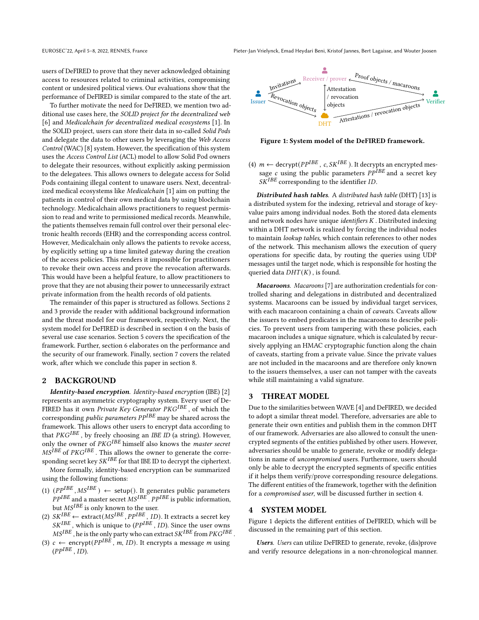users of DeFIRED to prove that they never acknowledged obtaining access to resources related to criminal activities, compromising content or undesired political views. Our evaluations show that the performance of DeFIRED is similar compared to the state of the art.

To further motivate the need for DeFIRED, we mention two additional use cases here, the SOLID project for the decentralized web [\[6\]](#page-6-8) and Medicalchain for decentralized medical ecosystems [\[1\]](#page-6-9). In the SOLID project, users can store their data in so-called Solid Pods and delegate the data to other users by leveraging the Web Access Control (WAC) [\[8\]](#page-6-10) system. However, the specification of this system uses the Access Control List (ACL) model to allow Solid Pod owners to delegate their resources, without explicitly asking permission to the delegatees. This allows owners to delegate access for Solid Pods containing illegal content to unaware users. Next, decentralized medical ecosystems like Medicalchain [\[1\]](#page-6-9) aim on putting the patients in control of their own medical data by using blockchain technology. Medicalchain allows practitioners to request permission to read and write to permissioned medical records. Meanwhile, the patients themselves remain full control over their personal electronic health records (EHR) and the corresponding access control. However, Medicalchain only allows the patients to revoke access, by explicitly setting up a time limited gateway during the creation of the access policies. This renders it impossible for practitioners to revoke their own access and prove the revocation afterwards. This would have been a helpful feature, to allow practitioners to prove that they are not abusing their power to unnecessarily extract private information from the health records of old patients.

The remainder of this paper is structured as follows. Sections [2](#page-1-0) and [3](#page-1-1) provide the reader with additional background information and the threat model for our framework, respectively. Next, the system model for DeFIRED is described in section [4](#page-1-2) on the basis of several use case scenarios. Section [5](#page-2-0) covers the specification of the framework. Further, section [6](#page-4-0) elaborates on the performance and the security of our framework. Finally, section [7](#page-5-0) covers the related work, after which we conclude this paper in section [8.](#page-5-1)

## <span id="page-1-0"></span>2 BACKGROUND

Identity-based encryption. Identity-based encryption (IBE) [\[2\]](#page-6-11) represents an asymmetric cryptography system. Every user of De-FIRED has it own *Private Key Generator*  $PKG^{IBE}$ , of which the corresponding *public parameters*  $PP<sup>IBE</sup>$  may be shared across the framework. This allows other users to encrypt data according to that  $PKG^{IBE}$ , by freely choosing an IBE ID (a string). However, only the owner of  $PKG^{IBE}$  himself also knows the *master secret*  $\overline{MS}^{IBE}$  of  $\overline{PKG}^{IBE}$  . This allows the owner to generate the corresponding secret key  $SK^{IBE}$  for that IBE ID to decrypt the ciphertext.

More formally, identity-based encryption can be summarized using the following functions:

- (1)  $(PP^{IBE}, MS^{IBE}) \leftarrow \text{setup}()$ . It generates public parameters  $PP^{IBE}$  and a master secret  $\overline{MS^{IBE}}$ .  $PP^{IBE}$  is public information, but  $MS^{IBE}$  is only known to the user.
- (2)  $SK^{IBE} \leftarrow$  extract( $MS^{IBE}$ ,  $PP^{IBE}$ , ID). It extracts a secret key  $SK^{IBE}$ , which is unique to ( $PP^{IBE}$ , ID). Since the user owns  $MS^{IBE}$ , he is the only party who can extract  $SK^{IBE}$  from  $PKG^{IBE}$
- (3)  $c \leftarrow \text{encrypt}(PP^{IBE}, m, ID)$ . It encrypts a message m using  $(PP^{IBE}, ID)$ .

<span id="page-1-3"></span>

Figure 1: System model of the DeFIRED framework.

(4)  $m \leftarrow$  decrypt( $PP^{IBE}$ ,  $c, SK^{IBE}$ ). It decrypts an encrypted message c using the public parameters  $PP^{IBE}$  and a secret key  $\widetilde{SK^{IBE}}$  corresponding to the identifier ID.

Distributed hash tables. A distributed hash table (DHT) [\[13\]](#page-6-12) is a distributed system for the indexing, retrieval and storage of keyvalue pairs among individual nodes. Both the stored data elements and network nodes have unique *identifiers*  $K$ . Distributed indexing within a DHT network is realized by forcing the individual nodes to maintain lookup tables, which contain references to other nodes of the network. This mechanism allows the execution of query operations for specific data, by routing the queries using UDP messages until the target node, which is responsible for hosting the queried data  $DHT(K)$ , is found.

Macaroons. Macaroons [\[7\]](#page-6-13) are authorization credentials for controlled sharing and delegations in distributed and decentralized systems. Macaroons can be issued by individual target services, with each macaroon containing a chain of *caveats*. Caveats allow the issuers to embed predicates in the macaroons to describe policies. To prevent users from tampering with these policies, each macaroon includes a unique signature, which is calculated by recursively applying an HMAC cryptographic function along the chain of caveats, starting from a private value. Since the private values are not included in the macaroons and are therefore only known to the issuers themselves, a user can not tamper with the caveats while still maintaining a valid signature.

#### <span id="page-1-1"></span>3 THREAT MODEL

Due to the similarities between WAVE [\[4\]](#page-6-7) and DeFIRED, we decided to adopt a similar threat model. Therefore, adversaries are able to generate their own entities and publish them in the common DHT of our framework. Adversaries are also allowed to consult the unencrypted segments of the entities published by other users. However, adversaries should be unable to generate, revoke or modify delegations in name of uncompromised users. Furthermore, users should only be able to decrypt the encrypted segments of specific entities if it helps them verify/prove corresponding resource delegations. The different entities of the framework, together with the definition for a compromised user, will be discussed further in section [4.](#page-1-2)

#### <span id="page-1-2"></span>4 SYSTEM MODEL

.

Figure [1](#page-1-3) depicts the different entities of DeFIRED, which will be discussed in the remaining part of this section.

Users. Users can utilize DeFIRED to generate, revoke, (dis)prove and verify resource delegations in a non-chronological manner.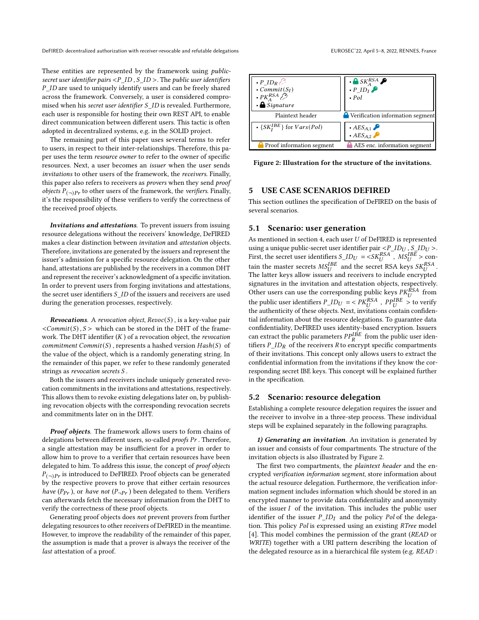These entities are represented by the framework using *public*secret user identifier pairs  $\langle P_{\perp}ID, S_{\perp}ID \rangle$ . The public user identifiers P ID are used to uniquely identify users and can be freely shared across the framework. Conversely, a user is considered compromised when his secret user identifier S ID is revealed. Furthermore, each user is responsible for hosting their own REST API, to enable direct communication between different users. This tactic is often adopted in decentralized systems, e.g. in the SOLID project.

The remaining part of this paper uses several terms to refer to users, in respect to their inter-relationships. Therefore, this paper uses the term resource owner to refer to the owner of specific resources. Next, a user becomes an issuer when the user sends invitations to other users of the framework, the receivers. Finally, this paper also refers to receivers as *provers* when they send *proof objects*  $P_{(-)P_r}$  to other users of the framework, the *verifiers*. Finally, it's the responsibility of these verifiers to verify the correctness of the received proof objects.

Invitations and attestations. To prevent issuers from issuing resource delegations without the receivers' knowledge, DeFIRED makes a clear distinction between invitation and attestation objects. Therefore, invitations are generated by the issuers and represent the issuer's admission for a specific resource delegation. On the other hand, attestations are published by the receivers in a common DHT and represent the receiver's acknowledgment of a specific invitation. In order to prevent users from forging invitations and attestations, the secret user identifiers  $S$   $ID$  of the issuers and receivers are used during the generation processes, respectively.

**Revocations.** A revocation object,  $Revoc(S)$ , is a key-value pair  $\leq$  *Commit*(S),  $S$  > which can be stored in the DHT of the framework. The DHT identifier  $(K)$  of a revocation object, the *revocation* commitment  $Commit(S)$ , represents a hashed version  $Hash(S)$  of the value of the object, which is a randomly generating string. In the remainder of this paper, we refer to these randomly generated strings as revocation secrets S.

Both the issuers and receivers include uniquely generated revocation commitments in the invitations and attestations, respectively. This allows them to revoke existing delegations later on, by publishing revocation objects with the corresponding revocation secrets and commitments later on in the DHT.

Proof objects. The framework allows users to form chains of delegations between different users, so-called  $\emph{proofs}$   $\emph{Pr}$  . Therefore, a single attestation may be insufficient for a prover in order to allow him to prove to a verifier that certain resources have been delegated to him. To address this issue, the concept of proof objects  $P_{(\neg)Pr}$  is introduced to DeFIRED. Proof objects can be generated by the respective provers to prove that either certain resources have ( $P_{Pr}$ ), or have not ( $P_{\neg Pr}$ ) been delegated to them. Verifiers can afterwards fetch the necessary information from the DHT to verify the correctness of these proof objects.

Generating proof objects does not prevent provers from further delegating resources to other receivers of DeFIRED in the meantime. However, to improve the readability of the remainder of this paper, the assumption is made that a prover is always the receiver of the last attestation of a proof.

<span id="page-2-1"></span>

Figure 2: Illustration for the structure of the invitations.

## <span id="page-2-0"></span>5 USE CASE SCENARIOS DEFIRED

This section outlines the specification of DeFIRED on the basis of several scenarios.

#### 5.1 Scenario: user generation

As mentioned in section [4,](#page-1-2) each user  $U$  of DeFIRED is represented using a unique public-secret user identifier pair  $\langle P_{\perp}ID_U, S_{\perp}ID_U \rangle$ . First, the secret user identifiers  $S_LID_U = \langle S K_U^{RSA}$ ,  $MS_U^{IBE} >$  contain the master secrets  $MS_U^{IBE}$  and the secret RSA keys  $SK_U^{RSA}$ . The latter keys allow issuers and receivers to include encrypted signatures in the invitation and attestation objects, respectively. Other users can use the corresponding public keys  $PK_U^{\hat{RSA}}$  from the public user identifiers  $P\_ID_U$  = <  $PK_U^{RSA}$  ,  $PP_U^{IBE}$   $>$  to verify the authenticity of these objects. Next, invitations contain confidential information about the resource delegations. To guarantee data confidentiality, DeFIRED uses identity-based encryption. Issuers can extract the public parameters  $PP_R^{IBE}$  from the public user identifiers  $P_{I}D_R$  of the receivers R to encrypt specific compartments of their invitations. This concept only allows users to extract the confidential information from the invitations if they know the corresponding secret IBE keys. This concept will be explained further in the specification.

#### <span id="page-2-2"></span>5.2 Scenario: resource delegation

Establishing a complete resource delegation requires the issuer and the receiver to involve in a three-step process. These individual steps will be explained separately in the following paragraphs.

1) Generating an invitation. An invitation is generated by an issuer and consists of four compartments. The structure of the invitation objects is also illustrated by Figure [2.](#page-2-1)

The first two compartments, the *plaintext header* and the encrypted verification information segment, store information about the actual resource delegation. Furthermore, the verification information segment includes information which should be stored in an encrypted manner to provide data confidentiality and anonymity of the issuer  $I$  of the invitation. This includes the public user identifier of the issuer  $P_{I}D_{I}$  and the policy  $Pol$  of the delegation. This policy Pol is expressed using an existing RTree model [\[4\]](#page-6-7). This model combines the permission of the grant (READ or WRITE) together with a URI pattern describing the location of the delegated resource as in a hierarchical file system (e.g.  $READ:$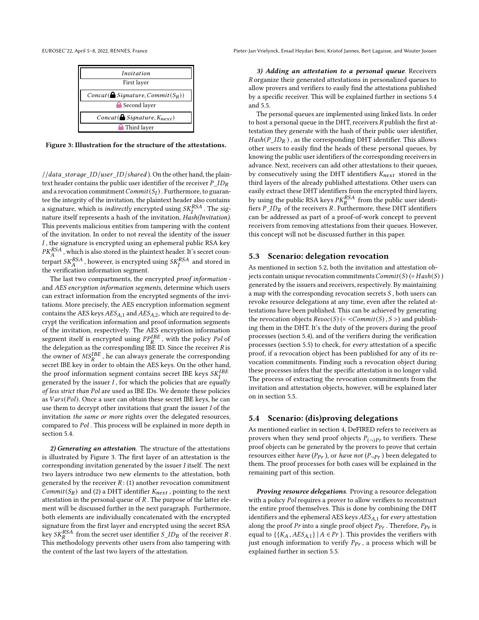**A** Third layer  $Concat(\bigoplus$  Signature,  $K_{next}$ ) **A** Second layer  $Concat(\bigoplus Signature, Committee(S_R))$ First layer Invitation

Figure 3: Illustration for the structure of the attestations.

//data\_storage\_ID/user\_ID/shared). On the other hand, the plaintext header contains the public user identifier of the receiver  $P_{\perp}ID_R$ and a revocation commitment  $\overline{\textit{Commit}(S_I)}$  . Furthermore, to guarantee the integrity of the invitation, the plaintext header also contains a signature, which is *indirectly* encrypted using  $SK_I^{RSA}$  . The signature itself represents a hash of the invitation, Hash(Invitation). This prevents malicious entities from tampering with the content of the invitation. In order to not reveal the identity of the issuer , the signature is encrypted using an ephemeral public RSA key  $PK_A^{RSA}$ , which is also stored in the plaintext header. It's secret counterpart  $\mathit{SK}^{RSA}_{A}$ , however, is encrypted using  $\mathit{SK}^{RSA}_{I}$  and stored in the verification information segment.

The last two compartments, the encrypted proof information and AES encryption information segments, determine which users can extract information from the encrypted segments of the invitations. More precisely, the AES encryption information segment contains the AES keys  $AES_{A,1}$  and  $AES_{A,2}$ , which are required to decrypt the verification information and proof information segments of the invitation, respectively. The AES encryption information segment itself is encrypted using  $PP_R^{IBE}$ , with the policy Pol of the delegation as the corresponding IBE ID. Since the receiver  $R$  is the owner of  $MS_R^{IBE}$ , he can always generate the corresponding secret IBE key in order to obtain the AES keys. On the other hand, the proof information segment contains secret IBE keys  $\mathcal{S}K_{I}^{IBE}$ generated by the issuer  $I$ , for which the policies that are *equally* of less strict than Pol are used as IBE IDs. We denote these policies as  $Vars(Pol)$ . Once a user can obtain these secret IBE keys, he can use them to decrypt other invitations that grant the issuer  $I$  of the invitation the same or more rights over the delegated resources, compared to Pol. This process will be explained in more depth in section [5.4.](#page-3-0)

2) Generating an attestation. The structure of the attestations is illustrated by Figure [3.](#page-3-1) The first layer of an attestation is the corresponding invitation generated by the issuer  $I$  itself. The next two layers introduce two new elements to the attestation, both generated by the receiver  $R: (1)$  another revocation commitment *Commit*( $S_R$ ) and (2) a DHT identifier  $K_{next}$ , pointing to the next attestation in the personal queue of  $R$ . The purpose of the latter element will be discussed further in the next paragraph. Furthermore, both elements are individually concatenated with the encrypted signature from the first layer and encrypted using the secret RSA key  $SK_R^{RSA}$  from the secret user identifier  $S_{{I\!I\!D}_R}$  of the receiver R. This methodology prevents other users from also tampering with the content of the last two layers of the attestation.

<span id="page-3-1"></span>EUROSEC'22, April 5–8, 2022, RENNES, France Pieter-Jan Vrielynck, Emad Heydari Beni, Kristof Jannes, Bert Lagaisse, and Wouter Joosen

3) Adding an attestation to a personal queue. Receivers organize their generated attestations in personalized queues to allow provers and verifiers to easily find the attestations published by a specific receiver. This will be explained further in sections [5.4](#page-3-0) and [5.5.](#page-4-1)

The personal queues are implemented using linked lists. In order to host a personal queue in the DHT, receivers  $R$  publish the first attestation they generate with the hash of their public user identifier,  $Hash(P\_ID_R)$ , as the corresponding DHT identifier. This allows other users to easily find the heads of these personal queues, by knowing the public user identifiers of the corresponding receivers in advance. Next, receivers can add other attestations to their queues, by consecutively using the DHT identifiers  $K_{next}$  stored in the third layers of the already published attestations. Other users can easily extract these DHT identifiers from the encrypted third layers, by using the public RSA keys  $PK_R^{RSA}$  from the public user identifiers  $P$   $ID_R$  of the receivers  $R$ . Furthermore, these DHT identifiers can be addressed as part of a proof-of-work concept to prevent receivers from removing attestations from their queues. However, this concept will not be discussed further in this paper.

#### 5.3 Scenario: delegation revocation

As mentioned in section [5.2,](#page-2-2) both the invitation and attestation objects contain unique revocation commitments  $Commit(S)$  (=  $Hash(S)$  ) generated by the issuers and receivers, respectively. By maintaining a map with the corresponding revocation secrets  $S$ , both users can revoke resource delegations at any time, even after the related attestations have been published. This can be achieved by generating the revocation objects  $Revoc(S) (= \langle Commit(S), S \rangle)$  and publishing them in the DHT. It's the duty of the provers during the proof processes (section [5.4\)](#page-3-0), and of the verifiers during the verification processes (section [5.5\)](#page-4-1) to check, for every attestation of a specific proof, if a revocation object has been published for any of its revocation commitments. Finding such a revocation object during these processes infers that the specific attestation is no longer valid. The process of extracting the revocation commitments from the invitation and attestation objects, however, will be explained later on in section [5.5.](#page-4-1)

#### <span id="page-3-0"></span>5.4 Scenario: (dis)proving delegations

As mentioned earlier in section [4,](#page-1-2) DeFIRED refers to receivers as provers when they send proof objects  $P_{(\neg)P_r}$  to verifiers. These proof objects can be generated by the provers to prove that certain resources either have ( $P_{Pr}$ ), or have not ( $P_{\neg Pr}$ ) been delegated to them. The proof processes for both cases will be explained in the remaining part of this section.

Proving resource delegations. Proving a resource delegation with a policy Pol requires a prover to allow verifiers to reconstruct the entire proof themselves. This is done by combining the DHT identifiers and the ephemeral AES keys  $AES_{A,1}$  for every attestation along the proof  $Pr$  into a single proof object  $P_{Pr}$ . Therefore,  $P_{Pr}$  is equal to  $\{\{K_A, AES_{A,1}\}\mid A \in Pr\}$ . This provides the verifiers with just enough information to verify  $P_{Pr}$ , a process which will be explained further in section [5.5.](#page-4-1)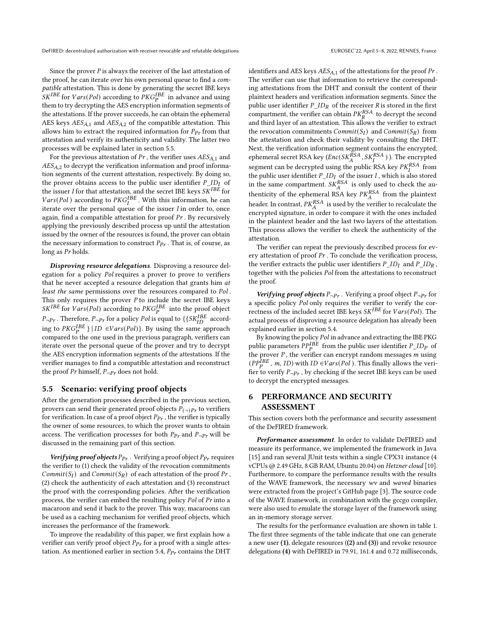Since the prover  $P$  is always the receiver of the last attestation of the proof, he can iterate over his own personal queue to find a compatible attestation. This is done by generating the secret IBE keys  $SK^{IBE}$  for  $Vars(Pol)$  according to  $PKG^{IBE}_P$  in advance and using them to try decrypting the AES encryption information segments of the attestations. If the prover succeeds, he can obtain the ephemeral AES keys  $AES_{A,1}$  and  $AES_{A,2}$  of the compatible attestation. This allows him to extract the required information for  $P_{Pr}$  from that attestation and verify its authenticity and validity. The latter two processes will be explained later in section [5.5.](#page-4-1)

For the previous attestation of  $Pr$ , the verifier uses  $AES_{A,1}$  and  $AES_{A,2}$  to decrypt the verification information and proof information segments of the current attestation, respectively. By doing so, the prover obtains access to the public user identifier  $P\_ID_I$  of the issuer I for that attestation, and the secret IBE keys  $SK^{IBE}$  for  $Vars(Pol)$  according to  $PKG_I^{IBE}$ . With this information, he can iterate over the personal queue of the issuer  $I$  in order to, once again, find a compatible attestation for proof  $Pr$ . By recursively applying the previously described process up until the attestation issued by the owner of the resources is found, the prover can obtain the necessary information to construct  $P_{Pr}$ . That is, of course, as long as  $Pr$  holds.

Disproving resource delegations. Disproving a resource delegation for a policy Pol requires a prover to prove to verifiers that he never accepted a resource delegation that grants him at least the same permissions over the resources compared to Pol. This only requires the prover  $P$  to include the secret IBE keys  $SK^{IBE}$  for  $Vars(Pol)$  according to  $PKG^{IBE}_P$  into the proof object  $P_{\neg Pr}$ . Therefore,  $P_{\neg Pr}$  for a policy Pol is equal to  $\{\{SK_{ID}^{IBE} \}$  according to  $PKG_{p}^{IBE}$  } |  $ID \in Vars(Pol)$ . By using the same approach compared to the one used in the previous paragraph, verifiers can iterate over the personal queue of the prover and try to decrypt the AES encryption information segments of the attestations. If the verifier manages to find a compatible attestation and reconstruct the proof  $Pr$  himself,  $P_{\neg Pr}$  does not hold.

## <span id="page-4-1"></span>5.5 Scenario: verifying proof objects

After the generation processes described in the previous section, provers can send their generated proof objects  $P_{(\neg)P_r}$  to verifiers for verification. In case of a proof object  $P_{Pr}$ , the verifier is typically the owner of some resources, to which the prover wants to obtain access. The verification processes for both  $P_{Pr}$  and  $P_{\neg Pr}$  will be discussed in the remaining part of this section.

Verifying proof objects  $P_{Pr}$ . Verifying a proof object  $P_{Pr}$  requires the verifier to (1) check the validity of the revocation commitments Commit(S<sub>I</sub>) and Commit(S<sub>R</sub>) of each attestation of the proof Pr, (2) check the authenticity of each attestation and (3) reconstruct the proof with the corresponding policies. After the verification process, the verifier can embed the resulting policy Pol of Pr into a macaroon and send it back to the prover. This way, macaroons can be used as a caching mechanism for verified proof objects, which increases the performance of the framework.

To improve the readability of this paper, we first explain how a verifier can verify proof object  $P_{Pr}$  for a proof with a single attes-tation. As mentioned earlier in section [5.4,](#page-3-0)  $P_{Pr}$  contains the DHT

identifiers and AES keys  $AES_{A,1}$  of the attestations for the proof  $\Pr$  . The verifier can use that information to retrieve the corresponding attestations from the DHT and consult the content of their plaintext headers and verification information segments. Since the public user identifier  $P_{IDR}$  of the receiver R is stored in the first compartment, the verifier can obtain  $PK_R^{RSA}$  to decrypt the second and third layer of an attestation. This allows the verifier to extract the revocation commitments  $Commit(S_I)$  and  $Commit(S_R)$  from the attestation and check their validity by consulting the DHT. Next, the verification information segment contains the encrypted, ephemeral secret RSA key (*Enc*( $SK_A^{RSA}$ ,  $SK_I^{RSA}$ )). The encrypted segment can be decrypted using the public RSA key  $PK_I^{RSA}$  from the public user identifier  $P\_ID_I$  of the issuer  $I$  , which is also stored in the same compartment.  $SK_A^{RSA}$  is only used to check the authenticity of the ephemeral RSA key  $PK_A^{RSA}$  from the plaintext header. In contrast,  $PK_A^{RSA}$  is used by the verifier to recalculate the encrypted signature, in order to compare it with the ones included in the plaintext header and the last two layers of the attestation. This process allows the verifier to check the authenticity of the attestation.

The verifier can repeat the previously described process for every attestation of proof  $Pr$ . To conclude the verification process, the verifier extracts the public user identifiers  $P$   $ID_I$  and  $P$   $ID_R$ , together with the policies *Pol* from the attestations to reconstruct the proof.

Verifying proof objects  $P_{\neg Pr}$ . Verifying a proof object  $P_{\neg Pr}$  for a specific policy Pol only requires the verifier to verify the correctness of the included secret IBE keys  $SK^{IBE}$  for  $Vars(Pol)$ . The actual process of disproving a resource delegation has already been explained earlier in section [5.4.](#page-3-0)

By knowing the policy Pol in advance and extracting the IBE PKG public parameters  $PP_P^{IBE}$  from the public user identifier  $P\_ID_P$  of the prover  $P$ , the verifier can encrypt random messages  $m$  using  $(PP_{P}^{IBE}, m, ID)$  with  $ID \in Vars(Pol)$ . This finally allows the verifier to verify  $P_{\neg Pr}$ , by checking if the secret IBE keys can be used to decrypt the encrypted messages.

## <span id="page-4-0"></span>6 PERFORMANCE AND SECURITY ASSESSMENT

This section covers both the performance and security assessment of the DeFIRED framework.

Performance assessment. In order to validate DeFIRED and measure its performance, we implemented the framework in Java [\[15\]](#page-6-14) and ran several JUnit tests within a single CPX31 instance (4 vCPUs @ 2.49 GHz, 8 GB RAM, Ubuntu 20.04) on Hetzner cloud [\[10\]](#page-6-15). Furthermore, to compare the performance results with the results of the WAVE framework, the necessary wv and waved binaries were extracted from the project's GitHub page [\[3\]](#page-6-16). The source code of the WAVE framework, in combination with the gccgo compiler, were also used to emulate the storage layer of the framework using an in-memory storage server.

The results for the performance evaluation are shown in table [1.](#page-5-2) The first three segments of the table indicate that one can generate a new user (1), delegate resources ((2) and (3)) and revoke resource delegations (4) with DeFIRED in 79.91, 161.4 and 0.72 milliseconds,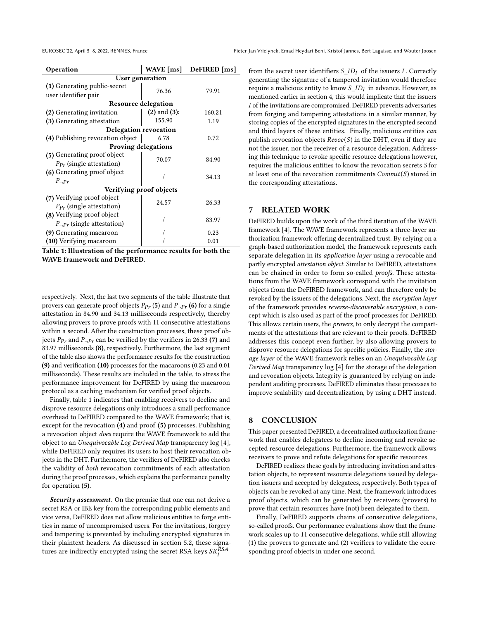<span id="page-5-2"></span>

| Operation                          | WAVE [ms]         | DeFIRED [ms] |
|------------------------------------|-------------------|--------------|
| User generation                    |                   |              |
| (1) Generating public-secret       | 76.36             | 79.91        |
| user identifier pair               |                   |              |
| <b>Resource delegation</b>         |                   |              |
| (2) Generating invitation          | $(2)$ and $(3)$ : | 160.21       |
| (3) Generating attestation         | 155.90            | 1.19         |
| Delegation revocation              |                   |              |
| (4) Publishing revocation object   | 6.78              | 0.72         |
| <b>Proving delegations</b>         |                   |              |
| (5) Generating proof object        | 70.07             | 84.90        |
| $P_{Pr}$ (single attestation)      |                   |              |
| (6) Generating proof object        |                   | 34.13        |
| $P_{\neg Pr}$                      |                   |              |
| Verifying proof objects            |                   |              |
| (7) Verifying proof object         | 24.57             | 26.33        |
| $P_{Pr}$ (single attestation)      |                   |              |
| (8) Verifying proof object         |                   | 83.97        |
| $P_{\neg Pr}$ (single attestation) |                   |              |
| (9) Generating macaroon            |                   | 0.23         |
| (10) Verifying macaroon            |                   | 0.01         |
|                                    |                   |              |

Table 1: Illustration of the performance results for both the WAVE framework and DeFIRED.

respectively. Next, the last two segments of the table illustrate that provers can generate proof objects  $P_{Pr}$  (5) and  $P_{\neg Pr}$  (6) for a single attestation in 84.90 and 34.13 milliseconds respectively, thereby allowing provers to prove proofs with 11 consecutive attestations within a second. After the construction processes, these proof objects  $P_{Pr}$  and  $P_{\neg Pr}$  can be verified by the verifiers in 26.33 (7) and 83.97 milliseconds (8), respectively. Furthermore, the last segment of the table also shows the performance results for the construction (9) and verification (10) processes for the macaroons (0.23 and 0.01 milliseconds). These results are included in the table, to stress the performance improvement for DeFIRED by using the macaroon protocol as a caching mechanism for verified proof objects.

Finally, table [1](#page-5-2) indicates that enabling receivers to decline and disprove resource delegations only introduces a small performance overhead to DeFIRED compared to the WAVE framework; that is, except for the revocation (4) and proof (5) processes. Publishing a revocation object does require the WAVE framework to add the object to an Unequivocable Log Derived Map transparency log [\[4\]](#page-6-7), while DeFIRED only requires its users to host their revocation objects in the DHT. Furthermore, the verifiers of DeFIRED also checks the validity of both revocation commitments of each attestation during the proof processes, which explains the performance penalty for operation (5).

Security assessment. On the premise that one can not derive a secret RSA or IBE key from the corresponding public elements and vice versa, DeFIRED does not allow malicious entities to forge entities in name of uncompromised users. For the invitations, forgery and tampering is prevented by including encrypted signatures in their plaintext headers. As discussed in section [5.2,](#page-2-2) these signatures are indirectly encrypted using the secret RSA keys  $\widetilde{SK^{ESA}_I}$ 

from the secret user identifiers  $S$ <sub>*ID<sub>I</sub>*</sub> of the issuers *I*. Correctly generating the signature of a tampered invitation would therefore require a malicious entity to know  $S\_ID_I$  in advance. However, as mentioned earlier in section [4,](#page-1-2) this would implicate that the issuers of the invitations are compromised. DeFIRED prevents adversaries from forging and tampering attestations in a similar manner, by storing copies of the encrypted signatures in the encrypted second and third layers of these entities. Finally, malicious entities can publish revocation objects  $Revoc(S)$  in the DHT, even if they are not the issuer, nor the receiver of a resource delegation. Addressing this technique to revoke specific resource delegations however, requires the malicious entities to know the revocation secrets for at least one of the revocation commitments  $Commit(S)$  stored in the corresponding attestations.

## <span id="page-5-0"></span>7 RELATED WORK

DeFIRED builds upon the work of the third iteration of the WAVE framework [\[4\]](#page-6-7). The WAVE framework represents a three-layer authorization framework offering decentralized trust. By relying on a graph-based authorization model, the framework represents each separate delegation in its *application layer* using a revocable and partly encrypted attestation object. Similar to DeFIRED, attestations can be chained in order to form so-called proofs. These attestations from the WAVE framework correspond with the invitation objects from the DeFIRED framework, and can therefore only be revoked by the issuers of the delegations. Next, the encryption layer of the framework provides reverse-discoverable encryption, a concept which is also used as part of the proof processes for DeFIRED. This allows certain users, the *provers*, to only decrypt the compartments of the attestations that are relevant to their proofs. DeFIRED addresses this concept even further, by also allowing provers to disprove resource delegations for specific policies. Finally, the storage layer of the WAVE framework relies on an Unequivocable Log Derived Map transparency log [\[4\]](#page-6-7) for the storage of the delegation and revocation objects. Integrity is guaranteed by relying on independent auditing processes. DeFIRED eliminates these processes to improve scalability and decentralization, by using a DHT instead.

#### <span id="page-5-1"></span>8 CONCLUSION

This paper presented DeFIRED, a decentralized authorization framework that enables delegatees to decline incoming and revoke accepted resource delegations. Furthermore, the framework allows receivers to prove and refute delegations for specific resources.

DeFIRED realizes these goals by introducing invitation and attestation objects, to represent resource delegations issued by delegation issuers and accepted by delegatees, respectively. Both types of objects can be revoked at any time. Next, the framework introduces proof objects, which can be generated by receivers (provers) to prove that certain resources have (not) been delegated to them.

Finally, DeFIRED supports chains of consecutive delegations, so-called proofs. Our performance evaluations show that the framework scales up to 11 consecutive delegations, while still allowing (1) the provers to generate and (2) verifiers to validate the corresponding proof objects in under one second.